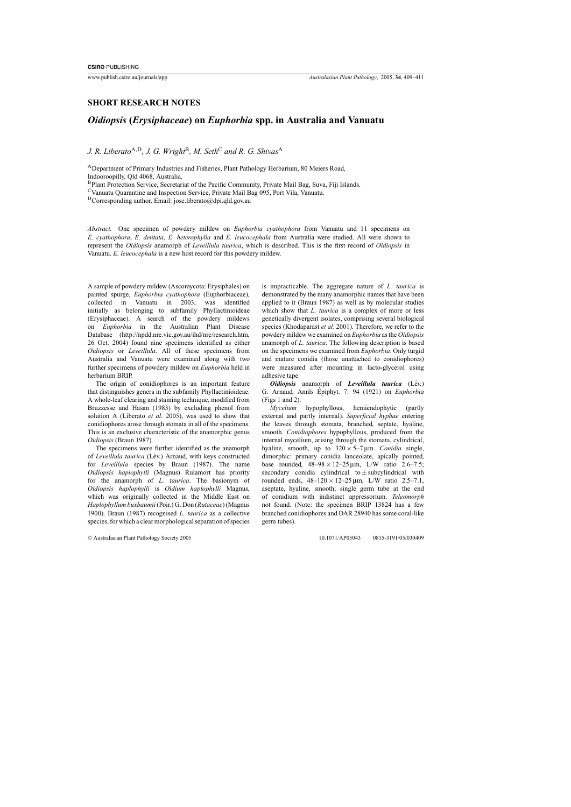## **SHORT RESEARCH NOTES**

## *Oidiopsis* **(***Erysiphaceae***) on** *Euphorbia* **spp. in Australia and Vanuatu**

*J. R. Liberato*A,D*, J. G. Wright*B*, M. Seth*<sup>C</sup> *and R. G. Shivas*<sup>A</sup>

ADepartment of Primary Industries and Fisheries, Plant Pathology Herbarium, 80 Meiers Road, Indooroopilly, Qld 4068, Australia.

BPlant Protection Service, Secretariat of the Pacific Community, Private Mail Bag, Suva, Fiji Islands.

CVanuatu Quarantine and Inspection Service, Private Mail Bag 095, Port Vila, Vanuatu.

DCorresponding author. Email: jose.liberato@dpi.qld.gov.au

*Abstract.* One specimen of powdery mildew on *Euphorbia cyathophora* from Vanuatu and 11 specimens on *E. cyathophora*, *E. dentata*, *E. heterophylla* and *E. leucocephala* from Australia were studied. All were shown to represent the *Oidiopsis* anamorph of *Leveillula taurica*, which is described. This is the first record of *Oidiopsis* in Vanuatu. *E. leucocephala* is a new host record for this powdery mildew.

A sample of powdery mildew (Ascomycota: Erysiphales) on painted spurge, *Euphorbia cyathophora* (Euphorbiaceae), collected in Vanuatu in 2003, was identified initially as belonging to subfamily Phyllactinioideae (Erysiphaceae). A search of the powdery mildews on *Euphorbia* in the Australian Plant Disease Database (http://npdd.nre.vic.gov.au/ihd/nre/research.htm, 26 Oct. 2004) found nine specimens identified as either *Oidiopsis* or *Leveillula*. All of these specimens from Australia and Vanuatu were examined along with two further specimens of powdery mildew on *Euphorbia* held in herbarium BRIP.

The origin of conidiophores is an important feature that distinguishes genera in the subfamily Phyllactinioideae. A whole-leaf clearing and staining technique, modified from [Bruzzesse and Hasan \(1983](#page-2-0)) by excluding phenol from solution A ([Liberato](#page-2-0) *et al*. 2005), was used to show that conidiophores arose through stomata in all of the specimens. This is an exclusive characteristic of the anamorphic genus *Oidiopsis* [\(Braun 1987\).](#page-2-0)

The specimens were further identified as the anamorph of *Leveillula taurica* (Lév.) Arnaud, with keys constructed for *Leveillula* species by [Braun \(1987\)](#page-2-0). The name *Oidiopsis haplophylli* (Magnus) Rulamort has priority for the anamorph of *L. taurica*. The basionym of *Oidiopsis haplophylli* is *Oidium haplophylli* Magnus, which was originally collected in the Middle East on *Haplophyllum buxbaumii*(Poir.) G. Don (*Rutaceae*) [\(Magnus](#page-2-0) 1900). [Braun \(1987\)](#page-2-0) recognised *L. taurica* as a collective species, for which a clear morphological separation of species is impracticable. The aggregate nature of *L. taurica* is demonstrated by the many anamorphic names that have been applied to it ([Braun 1987\)](#page-2-0) as well as by molecular studies which show that *L. taurica* is a complex of more or less genetically divergent isolates, comprising several biological species ([Khodaparast](#page-2-0) *et al*. 2001). Therefore, we refer to the powdery mildew we examined on *Euphorbia* as the *Oidiopsis* anamorph of *L. taurica*. The following description is based on the specimens we examined from *Euphorbia*. Only turgid and mature conidia (those unattached to conidiophores) were measured after mounting in lacto-glycerol using adhesive tape.

*Oidiopsis* anamorph of *Leveillula taurica* (Lév.) G. Arnaud, Annls Epiphyt. 7: 94 (1921) on *Euphorbia* ([Figs 1 a](#page-1-0)nd [2\).](#page-1-0)

*Mycelium* hypophyllous, hemiendophytic (partly external and partly internal). *Superficial hyphae* entering the leaves through stomata, branched, septate, hyaline, smooth. *Conidiophores* hypophyllous, produced from the internal mycelium, arising through the stomata, cylindrical, hyaline, smooth, up to  $320 \times 5 - 7 \,\text{\mu m}$ . *Conidia* single, dimorphic: primary conidia lanceolate, apically pointed, base rounded,  $48-98 \times 12-25 \,\mu m$ , L/W ratio 2.6-7.5; secondary conidia cylindrical to  $\pm$  subcylindrical with rounded ends,  $48-120 \times 12-25 \,\mu m$ , L/W ratio 2.5-7.1, aseptate, hyaline, smooth; single germ tube at the end of conidium with indistinct appressorium. *Teleomorph* not found. (Note: the specimen BRIP 13824 has a few branched conidiophores and DAR 28940 has some coral-like germ tubes).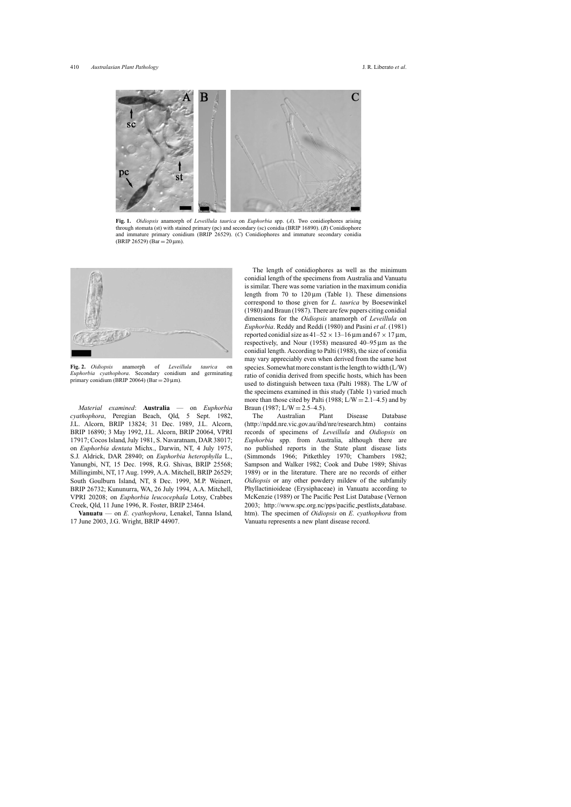<span id="page-1-0"></span>

**Fig. 1.** *Oidiopsis* anamorph of *Leveillula taurica* on *Euphorbia* spp. (*A*). Two conidiophores arising through stomata (st) with stained primary (pc) and secondary (sc) conidia (BRIP 16890). (*B*) Conidiophore and immature primary conidium (BRIP 26529). (*C*) Conidiophores and immature secondary conidia  $(BRIP 26529)$  (Bar = 20 µm).



**Fig. 2.** *Oidiopsis* anamorph of *Leveillula taurica* on *Euphorbia cyathophora*. Secondary conidium and germinating primary conidium (BRIP 20064) (Bar =  $20 \mu$ m).

*Material examined*: **Australia** — on *Euphorbia cyathophora*, Peregian Beach, Qld, 5 Sept. 1982, J.L. Alcorn, BRIP 13824; 31 Dec. 1989, J.L. Alcorn, BRIP 16890; 3 May 1992, J.L. Alcorn, BRIP 20064, VPRI 17917; Cocos Island, July 1981, S. Navaratnam, DAR 38017; on *Euphorbia dentata* Michx., Darwin, NT, 4 July 1975, S.J. Aldrick, DAR 28940; on *Euphorbia heterophylla* L., Yanungbi, NT, 15 Dec. 1998, R.G. Shivas, BRIP 25568; Millingimbi, NT, 17 Aug. 1999, A.A. Mitchell, BRIP 26529; South Goulburn Island, NT, 8 Dec. 1999, M.P. Weinert, BRIP 26732; Kununurra, WA, 26 July 1994, A.A. Mitchell, VPRI 20208; on *Euphorbia leucocephala* Lotsy, Crabbes Creek, Qld, 11 June 1996, R. Foster, BRIP 23464.

**Vanuatu** — on *E. cyathophora*, Lenakel, Tanna Island, 17 June 2003, J.G. Wright, BRIP 44907.

The length of conidiophores as well as the minimum conidial length of the specimens from Australia and Vanuatu is similar. There was some variation in the maximum conidia length from 70 to  $120 \mu m$  ([Table 1\)](#page-2-0). These dimensions correspond to those given for *L. taurica* by [Boesewinkel](#page-2-0) (1980) and [Braun \(1987\). T](#page-2-0)here are few papers citing conidial dimensions for the *Oidiopsis* anamorph of *Leveillula* on *Euphorbia*. [Reddy and Reddi \(1980\) a](#page-2-0)nd Pasini *et al*[. \(1981\)](#page-2-0) reported conidial size as  $41-52 \times 13-16 \,\mu m$  and  $67 \times 17 \,\mu m$ , respectively, and [Nour \(1958\)](#page-2-0) measured 40–95 µm as the conidial length. According to [Palti \(1988\), t](#page-2-0)he size of conidia may vary appreciably even when derived from the same host species. Somewhat more constant is the length to width (L/W) ratio of conidia derived from specific hosts, which has been used to distinguish between taxa [\(Palti 1988\).](#page-2-0) The L/W of the specimens examined in this study [\(Table 1\)](#page-2-0) varied much more than those cited by Palti (1988;  $L/W = 2.1-4.5$ ) and by [Braun \(1987;](#page-2-0)  $L/W = 2.5-4.5$ ).<br>The Australian Plant

Australian Plant Disease Database (http://npdd.nre.vic.gov.au/ihd/nre/research.htm) contains records of specimens of *Leveillula* and *Oidiopsis* on *Euphorbia* spp. from Australia, although there are no published reports in the State plant disease lists [\(Simmonds 1966](#page-2-0); [Pitkethley 1970](#page-2-0); [Chambers 1982](#page-2-0); [Sampson and Walker 1982; Cook and Dube 1989; Shivas](#page-2-0) 1989) or in the literature. There are no records of either *Oidiopsis* or any other powdery mildew of the subfamily Phyllactinioideae (Erysiphaceae) in Vanuatu according to [McKenzie \(1989\) o](#page-2-0)r The Pacific Pest List Database ([Vernon](#page-2-0) [2003;](#page-2-0) http://www.spc.org.nc/pps/pacific pestlists database. htm). The specimen of *Oidiopsis* on *E. cyathophora* from Vanuatu represents a new plant disease record.